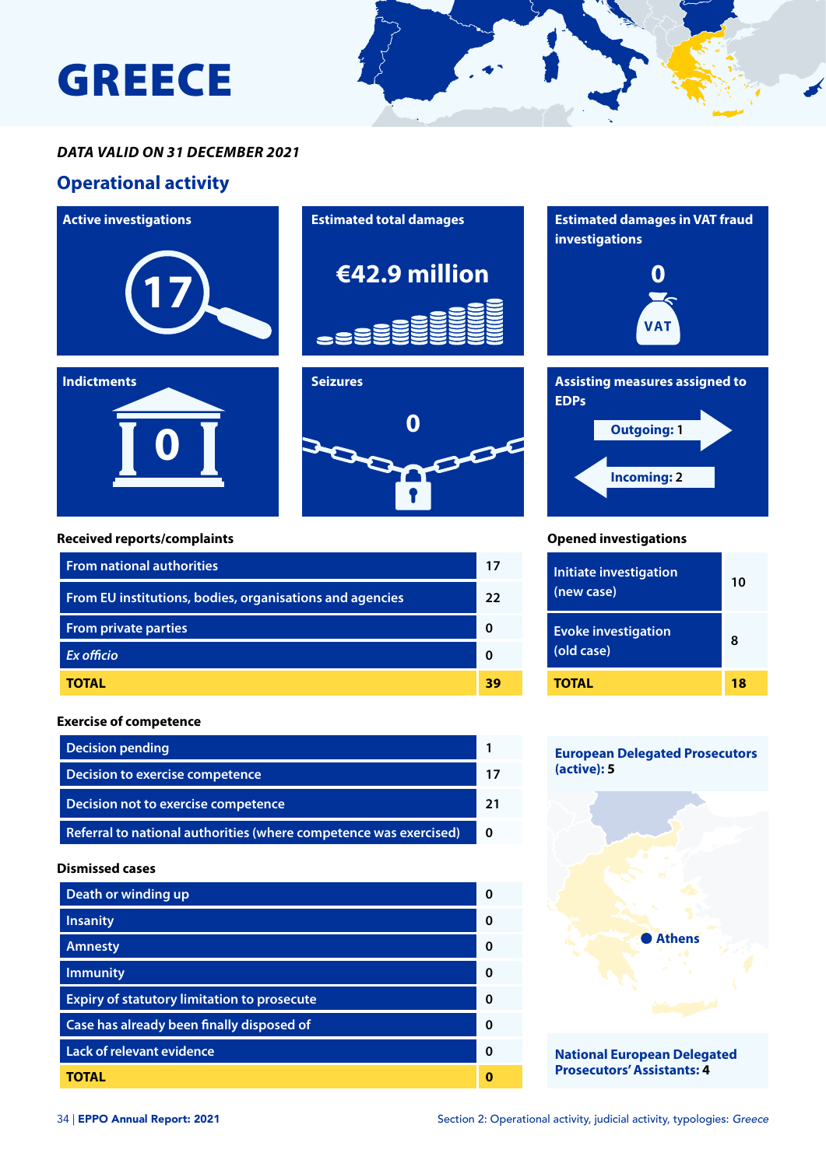## GREECE



### *DATA VALID ON 31 DECEMBER 2021*

### **Operational activity**





**0**



### **Received reports/complaints**

| <b>From national authorities</b>                         | 17 |
|----------------------------------------------------------|----|
| From EU institutions, bodies, organisations and agencies | 22 |
| <b>From private parties</b>                              |    |
| <b>Ex officio</b>                                        |    |
| <b>TOTAL</b>                                             | 39 |

### **Exercise of competence**

| <b>Decision pending</b>                                           |          |
|-------------------------------------------------------------------|----------|
| Decision to exercise competence                                   |          |
| Decision not to exercise competence                               |          |
| Referral to national authorities (where competence was exercised) | $\Omega$ |

#### **Dismissed cases**

| Death or winding up                                |   |
|----------------------------------------------------|---|
| <b>Insanity</b>                                    | ŋ |
| <b>Amnesty</b>                                     | ŋ |
| <b>Immunity</b>                                    | ŋ |
| <b>Expiry of statutory limitation to prosecute</b> | ŋ |
| Case has already been finally disposed of          | O |
| <b>Lack of relevant evidence</b>                   | ŋ |
| TOTAL                                              |   |



# **Incoming: 2 Outgoing: 1**

### **Opened investigations**

| <b>Initiate investigation</b><br>(new case) | 10 |
|---------------------------------------------|----|
| <b>Evoke investigation</b><br>(old case)    | ឧ  |
| TOTAL                                       | 18 |

### **European Delegated Prosecutors (active): 5**